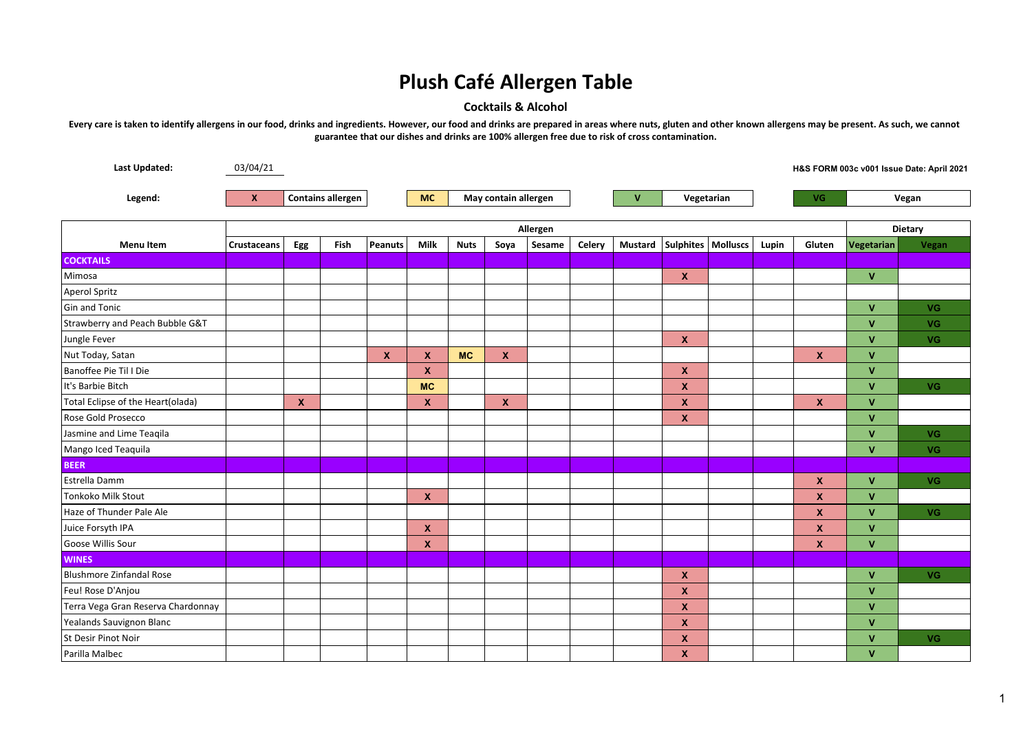## **Plush Café Allergen Table**

## **Cocktails & Alcohol**

**Every care is taken to identify allergens in our food, drinks and ingredients. However, our food and drinks are prepared in areas where nuts, gluten and other known allergens may be present. As such, we cannot guarantee that our dishes and drinks are 100% allergen free due to risk of cross contamination.**

| Last Updated:                      | 03/04/21                                 |             |      |                |                                   |             |                           |        |        |                |                      |  |       |                    |              | H&S FORM 003c v001 Issue Date: April 2021 |  |
|------------------------------------|------------------------------------------|-------------|------|----------------|-----------------------------------|-------------|---------------------------|--------|--------|----------------|----------------------|--|-------|--------------------|--------------|-------------------------------------------|--|
| Legend:                            | <b>Contains allergen</b><br>$\mathbf{x}$ |             |      |                | May contain allergen<br><b>MC</b> |             |                           |        |        | $\mathbf{V}$   |                      |  |       | VG.                |              | Vegan                                     |  |
|                                    | Vegetarian                               |             |      |                |                                   |             |                           |        |        |                |                      |  |       |                    |              |                                           |  |
|                                    | Allergen                                 |             |      |                |                                   |             |                           |        |        |                |                      |  |       |                    |              | <b>Dietary</b>                            |  |
| <b>Menu Item</b>                   | Crustaceans                              | Egg         | Fish | <b>Peanuts</b> | Milk                              | <b>Nuts</b> | Soya                      | Sesame | Celery | <b>Mustard</b> | Sulphites   Molluscs |  | Lupin | Gluten             | Vegetarian   | Vegan                                     |  |
| <b>COCKTAILS</b>                   |                                          |             |      |                |                                   |             |                           |        |        |                |                      |  |       |                    |              |                                           |  |
| Mimosa                             |                                          |             |      |                |                                   |             |                           |        |        |                | $\pmb{\mathsf{X}}$   |  |       |                    | $\mathbf{V}$ |                                           |  |
| Aperol Spritz                      |                                          |             |      |                |                                   |             |                           |        |        |                |                      |  |       |                    |              |                                           |  |
| Gin and Tonic                      |                                          |             |      |                |                                   |             |                           |        |        |                |                      |  |       |                    | $\mathbf{V}$ | VG                                        |  |
| Strawberry and Peach Bubble G&T    |                                          |             |      |                |                                   |             |                           |        |        |                |                      |  |       |                    | $\mathbf{V}$ | VG                                        |  |
| Jungle Fever                       |                                          |             |      |                |                                   |             |                           |        |        |                | $\mathbf{x}$         |  |       |                    | $\mathbf{V}$ | VG                                        |  |
| Nut Today, Satan                   |                                          |             |      | $\mathbf x$    | $\boldsymbol{x}$                  | <b>MC</b>   | $\boldsymbol{\mathsf{x}}$ |        |        |                |                      |  |       | $\mathbf{x}$       | $\mathbf{V}$ |                                           |  |
| Banoffee Pie Til I Die             |                                          |             |      |                | $\mathbf x$                       |             |                           |        |        |                | $\mathbf{x}$         |  |       |                    | $\mathbf{V}$ |                                           |  |
| It's Barbie Bitch                  |                                          |             |      |                | <b>MC</b>                         |             |                           |        |        |                | $\mathbf x$          |  |       |                    | $\mathbf{V}$ | VG                                        |  |
| Total Eclipse of the Heart(olada)  |                                          | $\mathbf x$ |      |                | $\boldsymbol{x}$                  |             | $\boldsymbol{\mathsf{x}}$ |        |        |                | $\boldsymbol{x}$     |  |       | $\pmb{\mathsf{x}}$ | $\mathbf{V}$ |                                           |  |
| Rose Gold Prosecco                 |                                          |             |      |                |                                   |             |                           |        |        |                | $\mathbf x$          |  |       |                    | $\mathbf{V}$ |                                           |  |
| Jasmine and Lime Teaqila           |                                          |             |      |                |                                   |             |                           |        |        |                |                      |  |       |                    | $\mathbf{V}$ | VG                                        |  |
| Mango Iced Teaquila                |                                          |             |      |                |                                   |             |                           |        |        |                |                      |  |       |                    | $\mathbf{V}$ | <b>VG</b>                                 |  |
| <b>BEER</b>                        |                                          |             |      |                |                                   |             |                           |        |        |                |                      |  |       |                    |              |                                           |  |
| Estrella Damm                      |                                          |             |      |                |                                   |             |                           |        |        |                |                      |  |       | $\mathbf{x}$       | $\mathbf{V}$ | VG                                        |  |
| <b>Tonkoko Milk Stout</b>          |                                          |             |      |                | $\boldsymbol{x}$                  |             |                           |        |        |                |                      |  |       | $\boldsymbol{x}$   | $\mathbf{V}$ |                                           |  |
| Haze of Thunder Pale Ale           |                                          |             |      |                |                                   |             |                           |        |        |                |                      |  |       | $\boldsymbol{x}$   | $\mathbf{V}$ | VG                                        |  |
| Juice Forsyth IPA                  |                                          |             |      |                | $\mathbf{x}$                      |             |                           |        |        |                |                      |  |       | $\mathbf x$        | $\mathbf{V}$ |                                           |  |
| Goose Willis Sour                  |                                          |             |      |                | $\boldsymbol{x}$                  |             |                           |        |        |                |                      |  |       | $\mathbf{x}$       | $\mathbf{V}$ |                                           |  |
| <b>WINES</b>                       |                                          |             |      |                |                                   |             |                           |        |        |                |                      |  |       |                    |              |                                           |  |
| Blushmore Zinfandal Rose           |                                          |             |      |                |                                   |             |                           |        |        |                | $\mathbf{x}$         |  |       |                    | $\mathbf{V}$ | VG                                        |  |
| Feu! Rose D'Anjou                  |                                          |             |      |                |                                   |             |                           |        |        |                | $\pmb{\mathsf{x}}$   |  |       |                    | $\mathbf{V}$ |                                           |  |
| Terra Vega Gran Reserva Chardonnay |                                          |             |      |                |                                   |             |                           |        |        |                | $\mathbf x$          |  |       |                    | $\mathbf{V}$ |                                           |  |
| Yealands Sauvignon Blanc           |                                          |             |      |                |                                   |             |                           |        |        |                | $\mathbf x$          |  |       |                    | $\mathbf{V}$ |                                           |  |
| St Desir Pinot Noir                |                                          |             |      |                |                                   |             |                           |        |        |                | $\boldsymbol{x}$     |  |       |                    | $\mathbf{V}$ | VG                                        |  |
| Parilla Malbec                     |                                          |             |      |                |                                   |             |                           |        |        |                | $\mathbf x$          |  |       |                    | $\mathbf{V}$ |                                           |  |